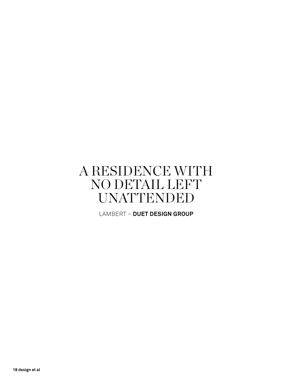## A RESIDENCE WITH NO DETAIL LEFT UNATTENDED

LAMBERT – **DUET DESIGN GROUP**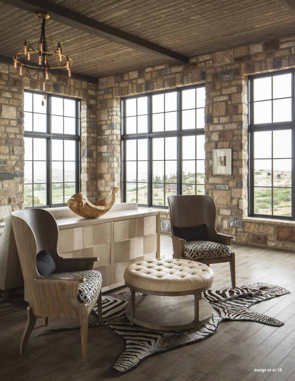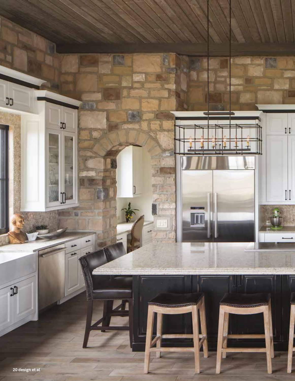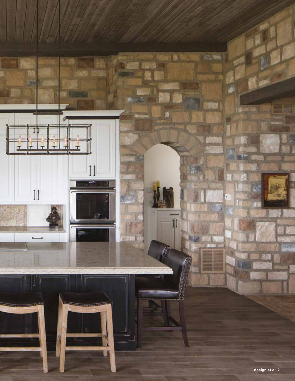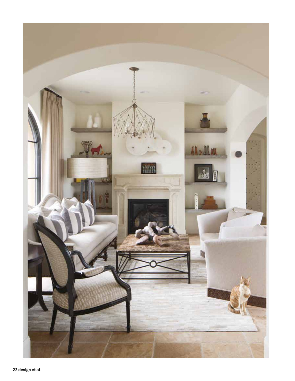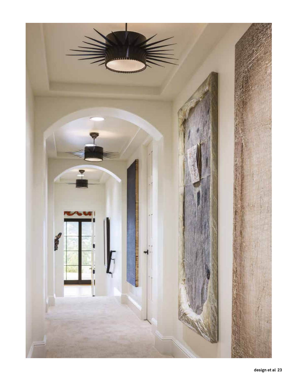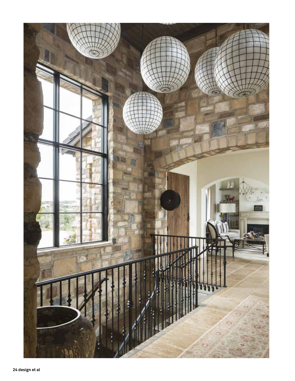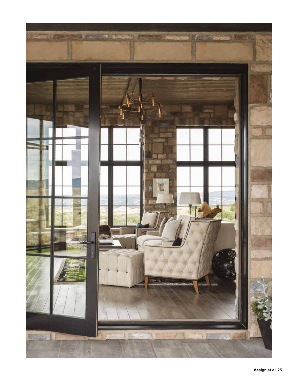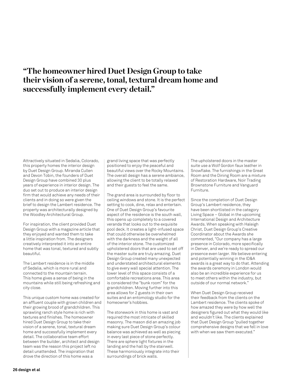## **"The homeowner hired Duet Design Group to take their vision of a serene, tonal, textural dream home and successfully implement every detail."**

Attractively situated in Sedalia, Colorado, this property homes the interior design by Duet Design Group. Miranda Cullen and Devon Tobin, the founders of Duet Design Group have combined 30 plus years of experience in interior design. The duo set out to produce an interior design firm that would achieve any needs of their clients and in doing so were given the brief to design the Lambert residence. The property was architecturally designed by the Woodley Architectural Group.

For inspiration, the client provided Duet Design Group with a magazine article that they enjoyed and wanted them to take a little inspiration from. The designers creatively interpreted it into an entire home that was tonal, textured and subtly beautiful.

The Lambert residence is in the middle of Sedalia, which is more rural and connected to the mountain terrain. This home gives a sense of being in the mountains while still being refreshing and city close.

This unique custom home was created for an affluent couple with grown children and their growing brood of grandchildren. This sprawling ranch style home is rich with textures and finishes. The homeowner hired Duet Design Group to take their vision of a serene, tonal, textural dream home and successfully implement every detail. The collaborative team effort between the builder, architect and design team was the reason this project left no detail unattended. The inspiration that drove the direction of this home was a

grand living space that was perfectly positioned to enjoy the peaceful and beautiful views over the Rocky Mountains. The overall design has a serene ambiance, allowing the client to be totally relaxed and their guests to feel the same.

The grand area is surrounded by floor to ceiling windows and stone. It is the perfect setting to cook, dine, relax and entertain. One of Duet Design Group's favourite aspect of the residence is the south wall, this opens up completely to a covered veranda that looks out to the exquisite pool deck. It creates a light-infused space that could otherwise be overwhelmed with the darkness and the weight of all of the interior stone. The customized upholstered doors that are used to set off the master suite are truly amazing. Duet Design Group created many unexpected and understated architectural elements to give every wall special attention. The lower level of this space consists of a comfortable recreations area. This area is considered the "bunk room" for the grandchildren. Moving further into this area allows for 2 guests in their own suites and an entomology studio for the homeowner's hobbies.

The stonework in this home is vast and required the most intricate of skilled masonry. The mason did an amazing job making sure Duet Design Group's colour balance was achieved as well as piecing in every last piece of stone perfectly. There are sphere light fixtures in the landing and the hall by the stairwell. These harmoniously integrate into their surroundings of brick walls.

The upholstered doors in the master suite use a Wolf Gordon faux leather in Snowflake. The furnishings in the Great Room and the Dining Room are a mixture of Restoration Hardware, Noir Trading Brownstone Furniture and Vanguard Furniture.

Since the completion of Duet Design Group's Lambert residence, they have been shortlisted in the category Living Space – Global in the upcoming International Design and Architecture Awards. When speaking with Haleigh Christ, Duet Design Group's Creative Coordinator about the Awards she commented, "Our company has a large presence in Colorado, more specifically in Denver, and we're ready to spread our presence even larger. We believe entering and potentially winning in the ID&A awards is a great way to do that. Attending the awards ceremony in London would also be an incredible experience for us to meet others within the industry, but outside of our normal network."

When Duet Design Group received their feedback from the clients on the Lambert residence. The clients spoke of how amazed they were by how well the designers figured out what they would like and wouldn't like. The clients explained that Duet Design Group "pulled together comprehensive designs that we fell in love with when we saw them executed."